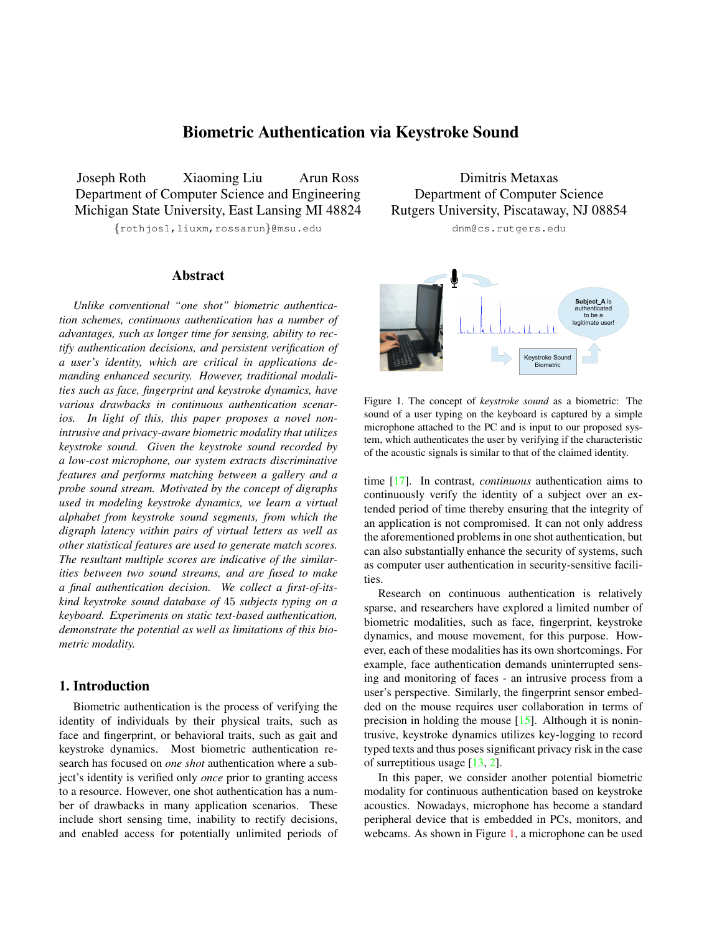# Biometric Authentication via Keystroke Sound

<span id="page-0-1"></span>Joseph Roth Xiaoming Liu Arun Ross Department of Computer Science and Engineering Michigan State University, East Lansing MI 48824

*{*rothjos1,liuxm,rossarun*}*@msu.edu

## Abstract

*Unlike conventional "one shot" biometric authentication schemes, continuous authentication has a number of advantages, such as longer time for sensing, ability to rectify authentication decisions, and persistent verification of a user's identity, which are critical in applications demanding enhanced security. However, traditional modalities such as face, fingerprint and keystroke dynamics, have various drawbacks in continuous authentication scenarios. In light of this, this paper proposes a novel nonintrusive and privacy-aware biometric modality that utilizes keystroke sound. Given the keystroke sound recorded by a low-cost microphone, our system extracts discriminative features and performs matching between a gallery and a probe sound stream. Motivated by the concept of digraphs used in modeling keystroke dynamics, we learn a virtual alphabet from keystroke sound segments, from which the digraph latency within pairs of virtual letters as well as other statistical features are used to generate match scores. The resultant multiple scores are indicative of the similarities between two sound streams, and are fused to make a final authentication decision. We collect a first-of-itskind keystroke sound database of* 45 *subjects typing on a keyboard. Experiments on static text-based authentication, demonstrate the potential as well as limitations of this biometric modality.*

### 1. Introduction

Biometric authentication is the process of verifying the identity of individuals by their physical traits, such as face and fingerprint, or behavioral traits, such as gait and keystroke dynamics. Most biometric authentication research has focused on *one shot* authentication where a subject's identity is verified only *once* prior to granting access to a resource. However, one shot authentication has a number of drawbacks in many application scenarios. These include short sensing time, inability to rectify decisions, and enabled access for potentially unlimited periods of

Dimitris Metaxas Department of Computer Science Rutgers University, Piscataway, NJ 08854 dnm@cs.rutgers.edu



<span id="page-0-0"></span>Figure 1. The concept of *keystroke sound* as a biometric: The sound of a user typing on the keyboard is captured by a simple microphone attached to the PC and is input to our proposed system, which authenticates the user by verifying if the characteristic of the acoustic signals is similar to that of the claimed identity.

time [\[17\]](#page-7-0). In contrast, *continuous* authentication aims to continuously verify the identity of a subject over an extended period of time thereby ensuring that the integrity of an application is not compromised. It can not only address the aforementioned problems in one shot authentication, but can also substantially enhance the security of systems, such as computer user authentication in security-sensitive facilities.

Research on continuous authentication is relatively sparse, and researchers have explored a limited number of biometric modalities, such as face, fingerprint, keystroke dynamics, and mouse movement, for this purpose. However, each of these modalities has its own shortcomings. For example, face authentication demands uninterrupted sensing and monitoring of faces - an intrusive process from a user's perspective. Similarly, the fingerprint sensor embedded on the mouse requires user collaboration in terms of precision in holding the mouse [\[15\]](#page-7-1). Although it is nonintrusive, keystroke dynamics utilizes key-logging to record typed texts and thus poses significant privacy risk in the case of surreptitious usage [\[13,](#page-7-2) [2\]](#page-7-3).

In this paper, we consider another potential biometric modality for continuous authentication based on keystroke acoustics. Nowadays, microphone has become a standard peripheral device that is embedded in PCs, monitors, and webcams. As shown in Figure [1,](#page-0-0) a microphone can be used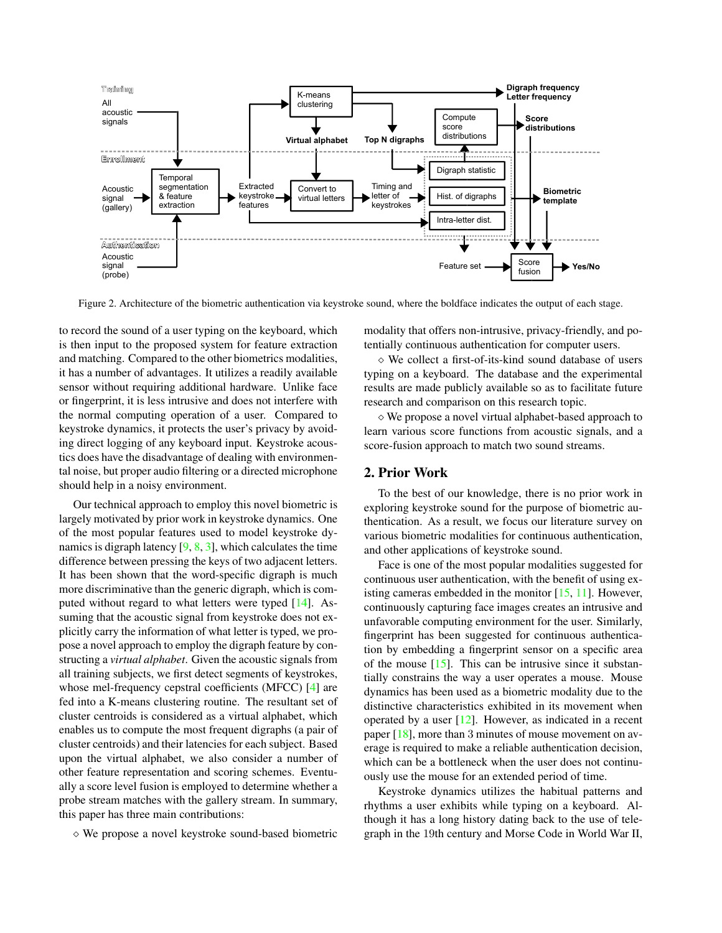<span id="page-1-1"></span>

<span id="page-1-0"></span>Figure 2. Architecture of the biometric authentication via keystroke sound, where the boldface indicates the output of each stage.

to record the sound of a user typing on the keyboard, which is then input to the proposed system for feature extraction and matching. Compared to the other biometrics modalities, it has a number of advantages. It utilizes a readily available sensor without requiring additional hardware. Unlike face or fingerprint, it is less intrusive and does not interfere with the normal computing operation of a user. Compared to keystroke dynamics, it protects the user's privacy by avoiding direct logging of any keyboard input. Keystroke acoustics does have the disadvantage of dealing with environmental noise, but proper audio filtering or a directed microphone should help in a noisy environment.

Our technical approach to employ this novel biometric is largely motivated by prior work in keystroke dynamics. One of the most popular features used to model keystroke dynamics is digraph latency  $[9, 8, 3]$  $[9, 8, 3]$  $[9, 8, 3]$  $[9, 8, 3]$  $[9, 8, 3]$ , which calculates the time difference between pressing the keys of two adjacent letters. It has been shown that the word-specific digraph is much more discriminative than the generic digraph, which is computed without regard to what letters were typed [\[14\]](#page-7-7). Assuming that the acoustic signal from keystroke does not explicitly carry the information of what letter is typed, we propose a novel approach to employ the digraph feature by constructing a *virtual alphabet*. Given the acoustic signals from all training subjects, we first detect segments of keystrokes, whose mel-frequency cepstral coefficients (MFCC) [\[4\]](#page-7-8) are fed into a K-means clustering routine. The resultant set of cluster centroids is considered as a virtual alphabet, which enables us to compute the most frequent digraphs (a pair of cluster centroids) and their latencies for each subject. Based upon the virtual alphabet, we also consider a number of other feature representation and scoring schemes. Eventually a score level fusion is employed to determine whether a probe stream matches with the gallery stream. In summary, this paper has three main contributions:

⇧ We propose a novel keystroke sound-based biometric

modality that offers non-intrusive, privacy-friendly, and potentially continuous authentication for computer users.

⇧ We collect a first-of-its-kind sound database of users typing on a keyboard. The database and the experimental results are made publicly available so as to facilitate future research and comparison on this research topic.

 $\diamond$  We propose a novel virtual alphabet-based approach to learn various score functions from acoustic signals, and a score-fusion approach to match two sound streams.

### 2. Prior Work

To the best of our knowledge, there is no prior work in exploring keystroke sound for the purpose of biometric authentication. As a result, we focus our literature survey on various biometric modalities for continuous authentication, and other applications of keystroke sound.

Face is one of the most popular modalities suggested for continuous user authentication, with the benefit of using existing cameras embedded in the monitor  $[15, 11]$  $[15, 11]$  $[15, 11]$ . However, continuously capturing face images creates an intrusive and unfavorable computing environment for the user. Similarly, fingerprint has been suggested for continuous authentication by embedding a fingerprint sensor on a specific area of the mouse  $[15]$ . This can be intrusive since it substantially constrains the way a user operates a mouse. Mouse dynamics has been used as a biometric modality due to the distinctive characteristics exhibited in its movement when operated by a user [\[12\]](#page-7-10). However, as indicated in a recent paper [\[18\]](#page-7-11), more than 3 minutes of mouse movement on average is required to make a reliable authentication decision, which can be a bottleneck when the user does not continuously use the mouse for an extended period of time.

Keystroke dynamics utilizes the habitual patterns and rhythms a user exhibits while typing on a keyboard. Although it has a long history dating back to the use of telegraph in the 19th century and Morse Code in World War II,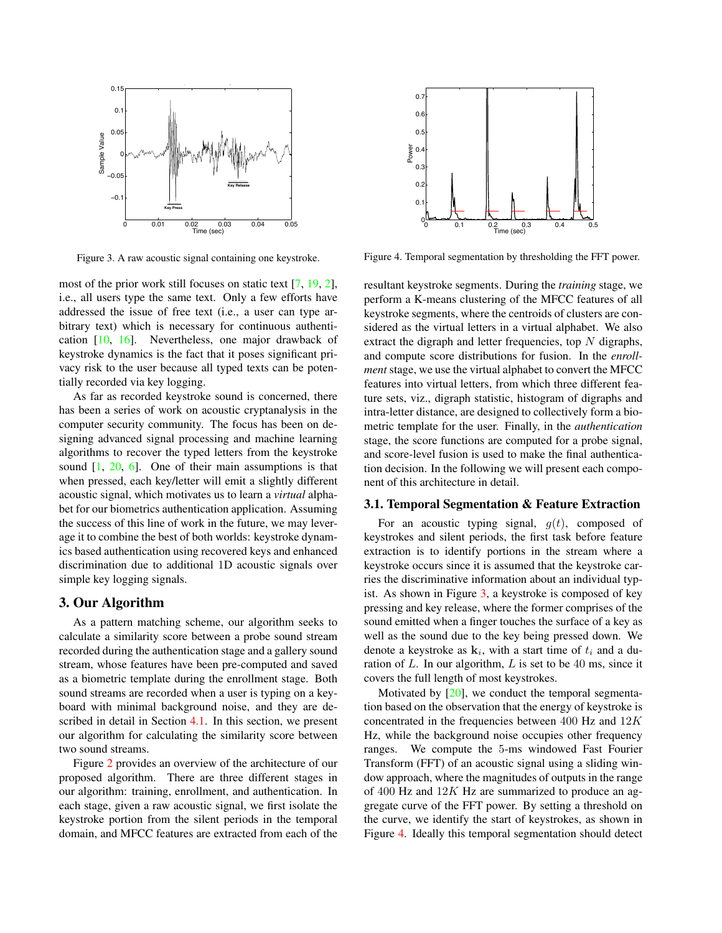<span id="page-2-2"></span>

<span id="page-2-0"></span>Figure 3. A raw acoustic signal containing one keystroke.

most of the prior work still focuses on static text [\[7,](#page-7-12) [19,](#page-7-13) [2\]](#page-7-3), i.e., all users type the same text. Only a few efforts have addressed the issue of free text (i.e., a user can type arbitrary text) which is necessary for continuous authentication [\[10,](#page-7-14) [16\]](#page-7-15). Nevertheless, one major drawback of keystroke dynamics is the fact that it poses significant privacy risk to the user because all typed texts can be potentially recorded via key logging.

As far as recorded keystroke sound is concerned, there has been a series of work on acoustic cryptanalysis in the computer security community. The focus has been on designing advanced signal processing and machine learning algorithms to recover the typed letters from the keystroke sound  $[1, 20, 6]$  $[1, 20, 6]$  $[1, 20, 6]$  $[1, 20, 6]$  $[1, 20, 6]$ . One of their main assumptions is that when pressed, each key/letter will emit a slightly different acoustic signal, which motivates us to learn a *virtual* alphabet for our biometrics authentication application. Assuming the success of this line of work in the future, we may leverage it to combine the best of both worlds: keystroke dynamics based authentication using recovered keys and enhanced discrimination due to additional 1D acoustic signals over simple key logging signals.

### 3. Our Algorithm

As a pattern matching scheme, our algorithm seeks to calculate a similarity score between a probe sound stream recorded during the authentication stage and a gallery sound stream, whose features have been pre-computed and saved as a biometric template during the enrollment stage. Both sound streams are recorded when a user is typing on a keyboard with minimal background noise, and they are described in detail in Section [4.1.](#page-5-0) In this section, we present our algorithm for calculating the similarity score between two sound streams.

Figure [2](#page-1-0) provides an overview of the architecture of our proposed algorithm. There are three different stages in our algorithm: training, enrollment, and authentication. In each stage, given a raw acoustic signal, we first isolate the keystroke portion from the silent periods in the temporal domain, and MFCC features are extracted from each of the



<span id="page-2-1"></span>Figure 4. Temporal segmentation by thresholding the FFT power.

resultant keystroke segments. During the *training* stage, we perform a K-means clustering of the MFCC features of all keystroke segments, where the centroids of clusters are considered as the virtual letters in a virtual alphabet. We also extract the digraph and letter frequencies, top *N* digraphs, and compute score distributions for fusion. In the *enrollment* stage, we use the virtual alphabet to convert the MFCC features into virtual letters, from which three different feature sets, viz., digraph statistic, histogram of digraphs and intra-letter distance, are designed to collectively form a biometric template for the user. Finally, in the *authentication* stage, the score functions are computed for a probe signal, and score-level fusion is used to make the final authentication decision. In the following we will present each component of this architecture in detail.

### 3.1. Temporal Segmentation & Feature Extraction

For an acoustic typing signal,  $g(t)$ , composed of keystrokes and silent periods, the first task before feature extraction is to identify portions in the stream where a keystroke occurs since it is assumed that the keystroke carries the discriminative information about an individual typist. As shown in Figure [3,](#page-2-0) a keystroke is composed of key pressing and key release, where the former comprises of the sound emitted when a finger touches the surface of a key as well as the sound due to the key being pressed down. We denote a keystroke as  $\mathbf{k}_i$ , with a start time of  $t_i$  and a duration of *L*. In our algorithm, *L* is set to be 40 ms, since it covers the full length of most keystrokes.

Motivated by [\[20\]](#page-7-17), we conduct the temporal segmentation based on the observation that the energy of keystroke is concentrated in the frequencies between 400 Hz and 12*K* Hz, while the background noise occupies other frequency ranges. We compute the 5-ms windowed Fast Fourier Transform (FFT) of an acoustic signal using a sliding window approach, where the magnitudes of outputs in the range of 400 Hz and 12*K* Hz are summarized to produce an aggregate curve of the FFT power. By setting a threshold on the curve, we identify the start of keystrokes, as shown in Figure [4.](#page-2-1) Ideally this temporal segmentation should detect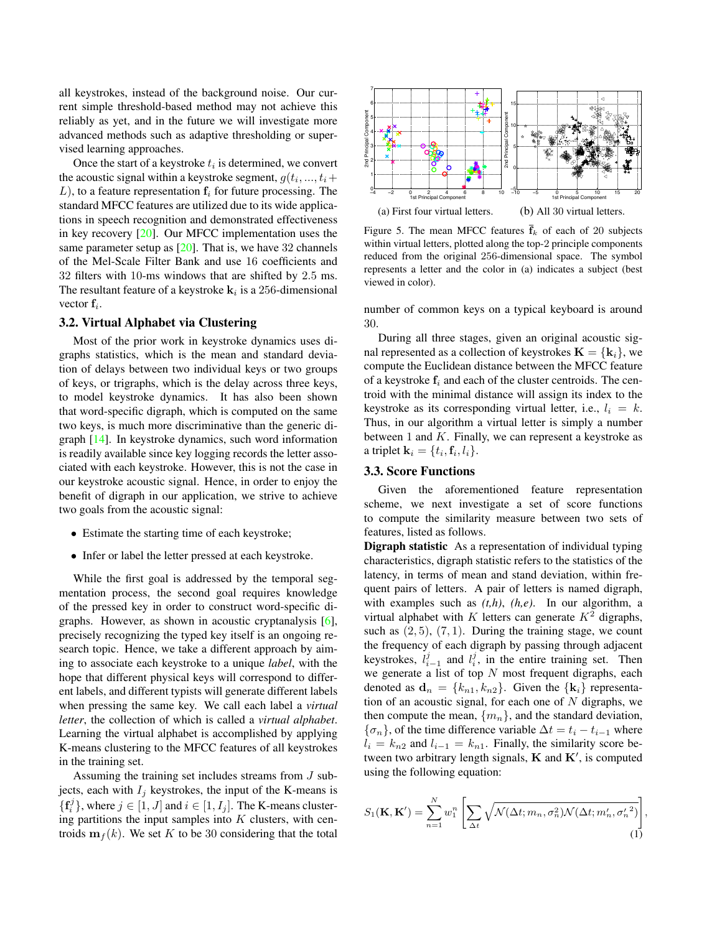<span id="page-3-2"></span>all keystrokes, instead of the background noise. Our current simple threshold-based method may not achieve this reliably as yet, and in the future we will investigate more advanced methods such as adaptive thresholding or supervised learning approaches.

Once the start of a keystroke *t<sup>i</sup>* is determined, we convert the acoustic signal within a keystroke segment,  $q(t_i, ..., t_i+)$  $L$ ), to a feature representation  $f_i$  for future processing. The standard MFCC features are utilized due to its wide applications in speech recognition and demonstrated effectiveness in key recovery [\[20\]](#page-7-17). Our MFCC implementation uses the same parameter setup as  $[20]$ . That is, we have 32 channels of the Mel-Scale Filter Bank and use 16 coefficients and 32 filters with 10-ms windows that are shifted by 2*.*5 ms. The resultant feature of a keystroke  $k_i$  is a 256-dimensional vector f*i*.

#### 3.2. Virtual Alphabet via Clustering

Most of the prior work in keystroke dynamics uses digraphs statistics, which is the mean and standard deviation of delays between two individual keys or two groups of keys, or trigraphs, which is the delay across three keys, to model keystroke dynamics. It has also been shown that word-specific digraph, which is computed on the same two keys, is much more discriminative than the generic digraph [\[14\]](#page-7-7). In keystroke dynamics, such word information is readily available since key logging records the letter associated with each keystroke. However, this is not the case in our keystroke acoustic signal. Hence, in order to enjoy the benefit of digraph in our application, we strive to achieve two goals from the acoustic signal:

- Estimate the starting time of each keystroke;
- *•* Infer or label the letter pressed at each keystroke.

While the first goal is addressed by the temporal segmentation process, the second goal requires knowledge of the pressed key in order to construct word-specific digraphs. However, as shown in acoustic cryptanalysis [\[6\]](#page-7-18), precisely recognizing the typed key itself is an ongoing research topic. Hence, we take a different approach by aiming to associate each keystroke to a unique *label*, with the hope that different physical keys will correspond to different labels, and different typists will generate different labels when pressing the same key. We call each label a *virtual letter*, the collection of which is called a *virtual alphabet*. Learning the virtual alphabet is accomplished by applying K-means clustering to the MFCC features of all keystrokes in the training set.

Assuming the training set includes streams from *J* subjects, each with  $I_i$  keystrokes, the input of the K-means is  ${f_i^j}$ , where  $j \in [1, J]$  and  $i \in [1, I_j]$ . The K-means clustering partitions the input samples into *K* clusters, with centroids  $\mathbf{m}_f(k)$ . We set *K* to be 30 considering that the total



<span id="page-3-0"></span>Figure 5. The mean MFCC features  $\bar{f}_k$  of each of 20 subjects within virtual letters, plotted along the top-2 principle components reduced from the original 256-dimensional space. The symbol represents a letter and the color in (a) indicates a subject (best viewed in color).

number of common keys on a typical keyboard is around 30.

During all three stages, given an original acoustic signal represented as a collection of keystrokes  $\mathbf{K} = \{k_i\}$ , we compute the Euclidean distance between the MFCC feature of a keystroke f*<sup>i</sup>* and each of the cluster centroids. The centroid with the minimal distance will assign its index to the keystroke as its corresponding virtual letter, i.e.,  $l_i = k$ . Thus, in our algorithm a virtual letter is simply a number between 1 and *K*. Finally, we can represent a keystroke as a triplet  ${\bf k}_i = \{t_i, {\bf f}_i, l_i\}.$ 

#### 3.3. Score Functions

Given the aforementioned feature representation scheme, we next investigate a set of score functions to compute the similarity measure between two sets of features, listed as follows.

Digraph statistic As a representation of individual typing characteristics, digraph statistic refers to the statistics of the latency, in terms of mean and stand deviation, within frequent pairs of letters. A pair of letters is named digraph, with examples such as *(t,h)*, *(h,e)*. In our algorithm, a virtual alphabet with *K* letters can generate  $K^2$  digraphs, such as  $(2, 5)$ ,  $(7, 1)$ . During the training stage, we count the frequency of each digraph by passing through adjacent keystrokes,  $l_{i-1}^j$  and  $l_i^j$ , in the entire training set. Then we generate a list of top *N* most frequent digraphs, each denoted as  $\mathbf{d}_n = \{k_{n1}, k_{n2}\}$ . Given the  $\{\mathbf{k}_i\}$  representation of an acoustic signal, for each one of *N* digraphs, we then compute the mean,  ${m_n}$ , and the standard deviation,  ${\sigma_n}$ , of the time difference variable  $\Delta t = t_i - t_{i-1}$  where  $l_i = k_{n2}$  and  $l_{i-1} = k_{n1}$ . Finally, the similarity score between two arbitrary length signals,  $K$  and  $K'$ , is computed using the following equation:

<span id="page-3-1"></span>
$$
S_1(\mathbf{K}, \mathbf{K}') = \sum_{n=1}^{N} w_1^n \left[ \sum_{\Delta t} \sqrt{\mathcal{N}(\Delta t; m_n, \sigma_n^2) \mathcal{N}(\Delta t; m_n', {\sigma_n'}^2)} \right]
$$
(1)

*,*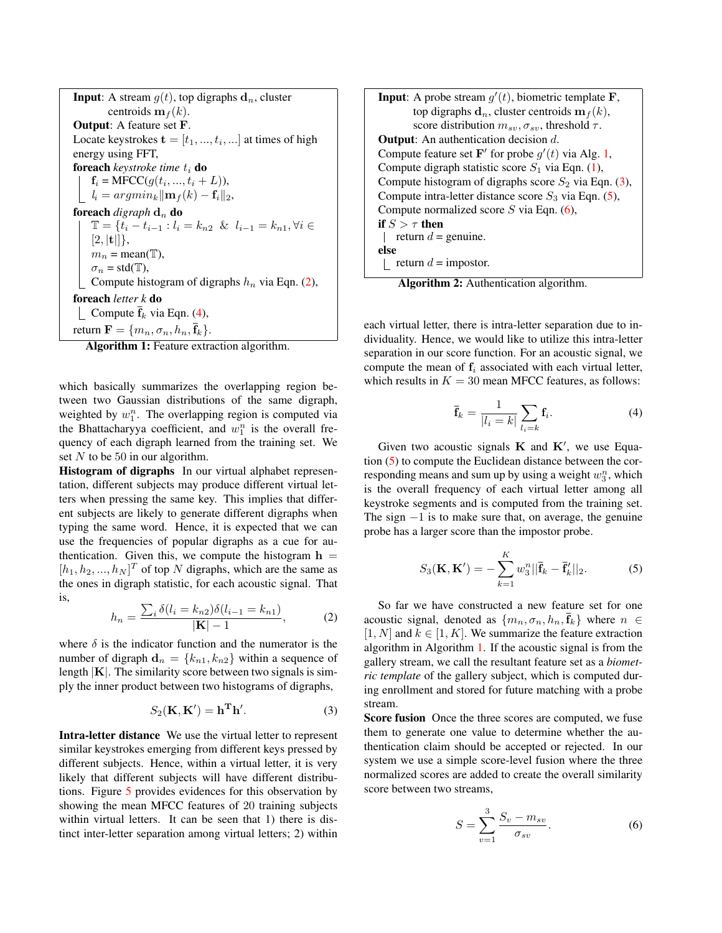**Input**: A stream  $g(t)$ , top digraphs  $d_n$ , cluster centroids  $\mathbf{m}_f(k)$ . Output: A feature set F. Locate keystrokes  $\mathbf{t} = [t_1, ..., t_i, ...]$  at times of high energy using FFT, foreach *keystroke time t <sup>i</sup>* do  $f_i = \text{MFCC}(g(t_i, ..., t_i + L)),$  $\lfloor l_i = argmin_k ||\mathbf{m}_f(k) - \mathbf{f}_i||_2$ foreach *digraph* d*<sup>n</sup>* do **each** digraph **d**<sub>*n*</sub> **do**<br>  $\mathbb{T} = \{t_i - t_{i-1} : l_i = k_{n2} \& l_{i-1} = k_{n1}, \forall i \in$  $[2, |{\bf t}|],$  $m_n = \text{mean}(\mathbb{T}),$  $\sigma_n = \text{std}(\mathbb{T}),$ Compute histogram of digraphs *h<sup>n</sup>* via Eqn. [\(2\)](#page-4-0), foreach *letter k* do **Compute**  $\bar{\mathbf{f}}_k$  via Eqn. [\(4\)](#page-4-1), return  $\mathbf{F} = \{m_n, \sigma_n, h_n, \overline{\mathbf{f}}_k\}.$ 

<span id="page-4-2"></span>Algorithm 1: Feature extraction algorithm.

which basically summarizes the overlapping region between two Gaussian distributions of the same digraph, weighted by  $w_1^n$ . The overlapping region is computed via the Bhattacharyya coefficient, and  $w_1^n$  is the overall frequency of each digraph learned from the training set. We set *N* to be 50 in our algorithm.

Histogram of digraphs In our virtual alphabet representation, different subjects may produce different virtual letters when pressing the same key. This implies that different subjects are likely to generate different digraphs when typing the same word. Hence, it is expected that we can use the frequencies of popular digraphs as a cue for authentication. Given this, we compute the histogram  $h =$  $[h_1, h_2, ..., h_N]^T$  of top *N* digraphs, which are the same as the ones in digraph statistic, for each acoustic signal. That is,

<span id="page-4-0"></span>
$$
h_n = \frac{\sum_i \delta(l_i = k_{n2}) \delta(l_{i-1} = k_{n1})}{|\mathbf{K}| - 1},
$$
 (2)

where  $\delta$  is the indicator function and the numerator is the number of digraph  $\mathbf{d}_n = \{k_{n1}, k_{n2}\}\$  within a sequence of length *|*K*|*. The similarity score between two signals is simply the inner product between two histograms of digraphs,

<span id="page-4-3"></span>
$$
S_2(\mathbf{K}, \mathbf{K}') = \mathbf{h}^{\mathbf{T}} \mathbf{h}'.\tag{3}
$$

Intra-letter distance We use the virtual letter to represent similar keystrokes emerging from different keys pressed by different subjects. Hence, within a virtual letter, it is very likely that different subjects will have different distributions. Figure [5](#page-3-0) provides evidences for this observation by showing the mean MFCC features of 20 training subjects within virtual letters. It can be seen that 1) there is distinct inter-letter separation among virtual letters; 2) within

| <b>Input:</b> A probe stream $g'(t)$ , biometric template <b>F</b> ,                 |
|--------------------------------------------------------------------------------------|
| top digraphs $\mathbf{d}_n$ , cluster centroids $\mathbf{m}_f(k)$ ,                  |
| score distribution $m_{sv}, \sigma_{sv}$ , threshold $\tau$ .                        |
| <b>Output:</b> An authentication decision $d$ .                                      |
| Compute feature set F' for probe $g'(t)$ via Alg. 1,                                 |
| Compute digraph statistic score $S_1$ via Eqn. (1),                                  |
| Compute histogram of digraphs score $S_2$ via Eqn. (3),                              |
| Compute intra-letter distance score $S_3$ via Eqn. (5),                              |
| Compute normalized score $S$ via Eqn. (6),                                           |
| if $S > \tau$ then                                                                   |
| return $d =$ genuine.                                                                |
| else                                                                                 |
| return $d =$ impostor.                                                               |
| $\mathbf{A}$<br>$\bullet$ $\bullet$ $\bullet$<br>. .<br>$\cdot$ .1<br>$\cdots$<br>п. |

<span id="page-4-6"></span>Algorithm 2: Authentication algorithm.

each virtual letter, there is intra-letter separation due to individuality. Hence, we would like to utilize this intra-letter separation in our score function. For an acoustic signal, we compute the mean of f*<sup>i</sup>* associated with each virtual letter, which results in  $K = 30$  mean MFCC features, as follows:

<span id="page-4-1"></span>
$$
\overline{\mathbf{f}}_k = \frac{1}{|l_i = k|} \sum_{l_i = k} \mathbf{f}_i. \tag{4}
$$

Given two acoustic signals  $K$  and  $K'$ , we use Equation [\(5\)](#page-4-4) to compute the Euclidean distance between the corresponding means and sum up by using a weight  $w_3^n$ , which is the overall frequency of each virtual letter among all keystroke segments and is computed from the training set. The sign  $-1$  is to make sure that, on average, the genuine probe has a larger score than the impostor probe.

<span id="page-4-4"></span>
$$
S_3(\mathbf{K}, \mathbf{K}') = -\sum_{k=1}^K w_3^n ||\mathbf{\bar{f}}_k - \mathbf{\bar{f}}_k'||_2.
$$
 (5)

So far we have constructed a new feature set for one acoustic signal, denoted as  $\{m_n, \sigma_n, h_n, \overline{f}_k\}$  where  $n \in$  $[1, N]$  and  $k \in [1, K]$ . We summarize the feature extraction algorithm in Algorithm [1.](#page-4-2) If the acoustic signal is from the gallery stream, we call the resultant feature set as a *biometric template* of the gallery subject, which is computed during enrollment and stored for future matching with a probe stream.

Score fusion Once the three scores are computed, we fuse them to generate one value to determine whether the authentication claim should be accepted or rejected. In our system we use a simple score-level fusion where the three normalized scores are added to create the overall similarity score between two streams,

<span id="page-4-5"></span>
$$
S = \sum_{v=1}^{3} \frac{S_v - m_{sv}}{\sigma_{sv}}.
$$
 (6)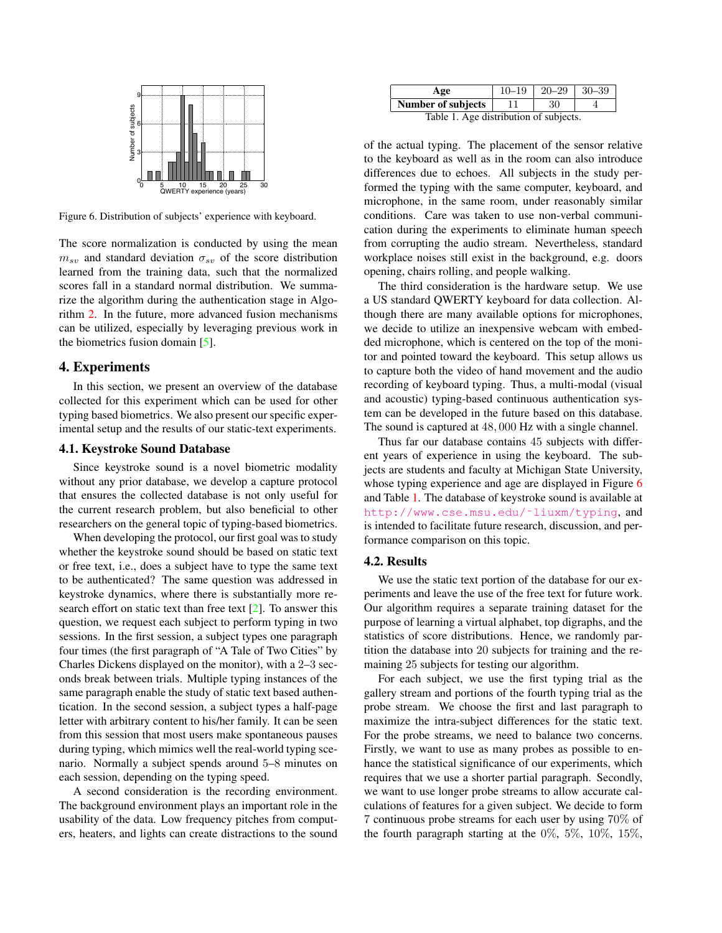<span id="page-5-3"></span>

<span id="page-5-1"></span>Figure 6. Distribution of subjects' experience with keyboard.

The score normalization is conducted by using the mean  $m_{sv}$  and standard deviation  $\sigma_{sv}$  of the score distribution learned from the training data, such that the normalized scores fall in a standard normal distribution. We summarize the algorithm during the authentication stage in Algorithm [2.](#page-4-6) In the future, more advanced fusion mechanisms can be utilized, especially by leveraging previous work in the biometrics fusion domain [\[5\]](#page-7-19).

#### 4. Experiments

In this section, we present an overview of the database collected for this experiment which can be used for other typing based biometrics. We also present our specific experimental setup and the results of our static-text experiments.

#### <span id="page-5-0"></span>4.1. Keystroke Sound Database

Since keystroke sound is a novel biometric modality without any prior database, we develop a capture protocol that ensures the collected database is not only useful for the current research problem, but also beneficial to other researchers on the general topic of typing-based biometrics.

When developing the protocol, our first goal was to study whether the keystroke sound should be based on static text or free text, i.e., does a subject have to type the same text to be authenticated? The same question was addressed in keystroke dynamics, where there is substantially more research effort on static text than free text [\[2\]](#page-7-3). To answer this question, we request each subject to perform typing in two sessions. In the first session, a subject types one paragraph four times (the first paragraph of "A Tale of Two Cities" by Charles Dickens displayed on the monitor), with a 2–3 seconds break between trials. Multiple typing instances of the same paragraph enable the study of static text based authentication. In the second session, a subject types a half-page letter with arbitrary content to his/her family. It can be seen from this session that most users make spontaneous pauses during typing, which mimics well the real-world typing scenario. Normally a subject spends around 5–8 minutes on each session, depending on the typing speed.

A second consideration is the recording environment. The background environment plays an important role in the usability of the data. Low frequency pitches from computers, heaters, and lights can create distractions to the sound

| Age                                  | $10 - 19$ | $20 - 29$ | $30 - 39$ |  |
|--------------------------------------|-----------|-----------|-----------|--|
| Number of subjects                   |           | 30        |           |  |
| Table 1 Age distribution of subjects |           |           |           |  |

<span id="page-5-2"></span>Table 1. Age distribution of subjects.

of the actual typing. The placement of the sensor relative to the keyboard as well as in the room can also introduce differences due to echoes. All subjects in the study performed the typing with the same computer, keyboard, and microphone, in the same room, under reasonably similar conditions. Care was taken to use non-verbal communication during the experiments to eliminate human speech from corrupting the audio stream. Nevertheless, standard workplace noises still exist in the background, e.g. doors opening, chairs rolling, and people walking.

The third consideration is the hardware setup. We use a US standard QWERTY keyboard for data collection. Although there are many available options for microphones, we decide to utilize an inexpensive webcam with embedded microphone, which is centered on the top of the monitor and pointed toward the keyboard. This setup allows us to capture both the video of hand movement and the audio recording of keyboard typing. Thus, a multi-modal (visual and acoustic) typing-based continuous authentication system can be developed in the future based on this database. The sound is captured at 48*,* 000 Hz with a single channel.

Thus far our database contains 45 subjects with different years of experience in using the keyboard. The subjects are students and faculty at Michigan State University, whose typing experience and age are displayed in Figure [6](#page-5-1) and Table [1.](#page-5-2) The database of keystroke sound is available at [http://www.cse.msu.edu/˜liuxm/typing](http://www.cse.msu.edu/~liuxm/typing), and is intended to facilitate future research, discussion, and performance comparison on this topic.

### 4.2. Results

We use the static text portion of the database for our experiments and leave the use of the free text for future work. Our algorithm requires a separate training dataset for the purpose of learning a virtual alphabet, top digraphs, and the statistics of score distributions. Hence, we randomly partition the database into 20 subjects for training and the remaining 25 subjects for testing our algorithm.

For each subject, we use the first typing trial as the gallery stream and portions of the fourth typing trial as the probe stream. We choose the first and last paragraph to maximize the intra-subject differences for the static text. For the probe streams, we need to balance two concerns. Firstly, we want to use as many probes as possible to enhance the statistical significance of our experiments, which requires that we use a shorter partial paragraph. Secondly, we want to use longer probe streams to allow accurate calculations of features for a given subject. We decide to form 7 continuous probe streams for each user by using 70% of the fourth paragraph starting at the  $0\%$ ,  $5\%$ ,  $10\%$ ,  $15\%$ ,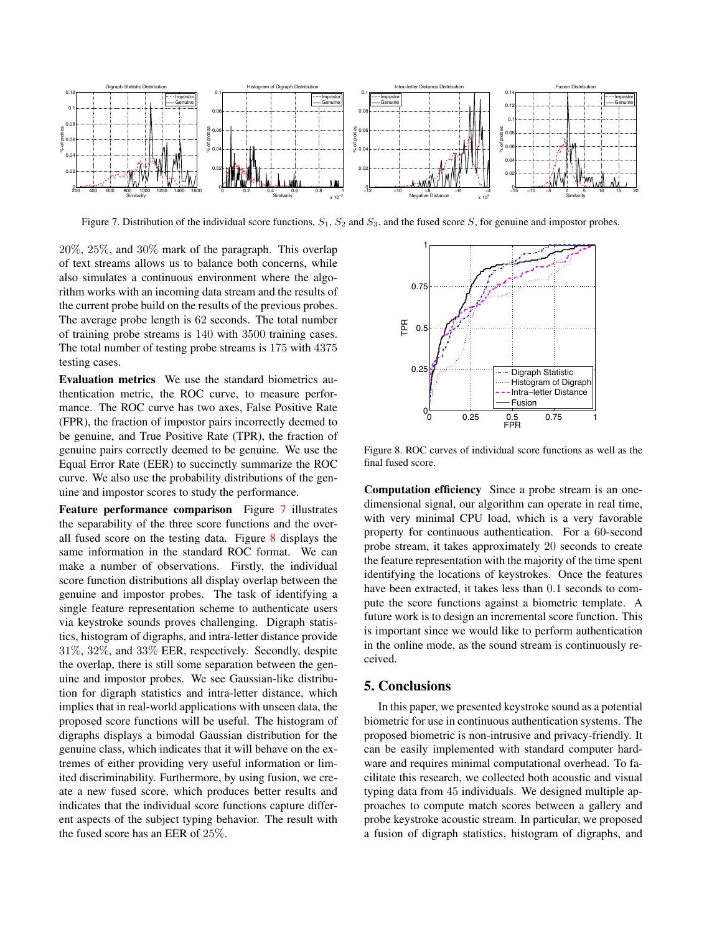

<span id="page-6-0"></span>Figure 7. Distribution of the individual score functions, *S*1, *S*<sup>2</sup> and *S*3, and the fused score *S*, for genuine and impostor probes.

20%, 25%, and 30% mark of the paragraph. This overlap of text streams allows us to balance both concerns, while also simulates a continuous environment where the algorithm works with an incoming data stream and the results of the current probe build on the results of the previous probes. The average probe length is 62 seconds. The total number of training probe streams is 140 with 3500 training cases. The total number of testing probe streams is 175 with 4375 testing cases.

Evaluation metrics We use the standard biometrics authentication metric, the ROC curve, to measure performance. The ROC curve has two axes, False Positive Rate (FPR), the fraction of impostor pairs incorrectly deemed to be genuine, and True Positive Rate (TPR), the fraction of genuine pairs correctly deemed to be genuine. We use the Equal Error Rate (EER) to succinctly summarize the ROC curve. We also use the probability distributions of the genuine and impostor scores to study the performance.

Feature performance comparison Figure [7](#page-6-0) illustrates the separability of the three score functions and the overall fused score on the testing data. Figure [8](#page-6-1) displays the same information in the standard ROC format. We can make a number of observations. Firstly, the individual score function distributions all display overlap between the genuine and impostor probes. The task of identifying a single feature representation scheme to authenticate users via keystroke sounds proves challenging. Digraph statistics, histogram of digraphs, and intra-letter distance provide 31%, 32%, and 33% EER, respectively. Secondly, despite the overlap, there is still some separation between the genuine and impostor probes. We see Gaussian-like distribution for digraph statistics and intra-letter distance, which implies that in real-world applications with unseen data, the proposed score functions will be useful. The histogram of digraphs displays a bimodal Gaussian distribution for the genuine class, which indicates that it will behave on the extremes of either providing very useful information or limited discriminability. Furthermore, by using fusion, we create a new fused score, which produces better results and indicates that the individual score functions capture different aspects of the subject typing behavior. The result with the fused score has an EER of 25%.



<span id="page-6-1"></span>Figure 8. ROC curves of individual score functions as well as the final fused score.

Computation efficiency Since a probe stream is an onedimensional signal, our algorithm can operate in real time, with very minimal CPU load, which is a very favorable property for continuous authentication. For a 60-second probe stream, it takes approximately 20 seconds to create the feature representation with the majority of the time spent identifying the locations of keystrokes. Once the features have been extracted, it takes less than 0*.*1 seconds to compute the score functions against a biometric template. A future work is to design an incremental score function. This is important since we would like to perform authentication in the online mode, as the sound stream is continuously received.

### 5. Conclusions

In this paper, we presented keystroke sound as a potential biometric for use in continuous authentication systems. The proposed biometric is non-intrusive and privacy-friendly. It can be easily implemented with standard computer hardware and requires minimal computational overhead. To facilitate this research, we collected both acoustic and visual typing data from 45 individuals. We designed multiple approaches to compute match scores between a gallery and probe keystroke acoustic stream. In particular, we proposed a fusion of digraph statistics, histogram of digraphs, and